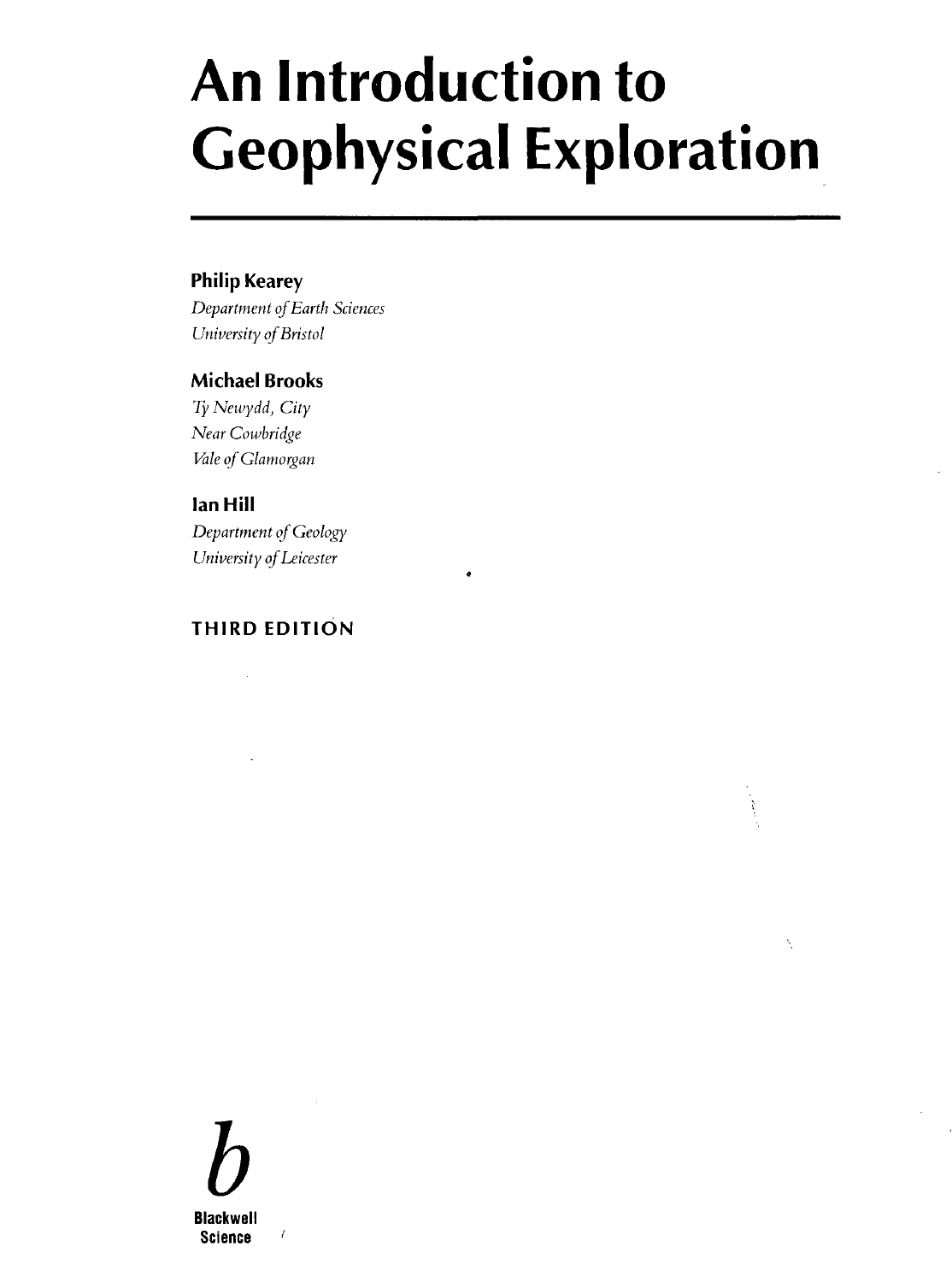# **An Introduction to Geophysical Exploration**

ķ

# Philip Kearey

*Department of Earth Sciences University of Bristol*

# Michael Brooks

*Ty Newydd, City Near Cowbridge Vale of Glamorgan*

#### Ian Hill

*Department of Geology University of Leicester*

# **THIRD EDITION**

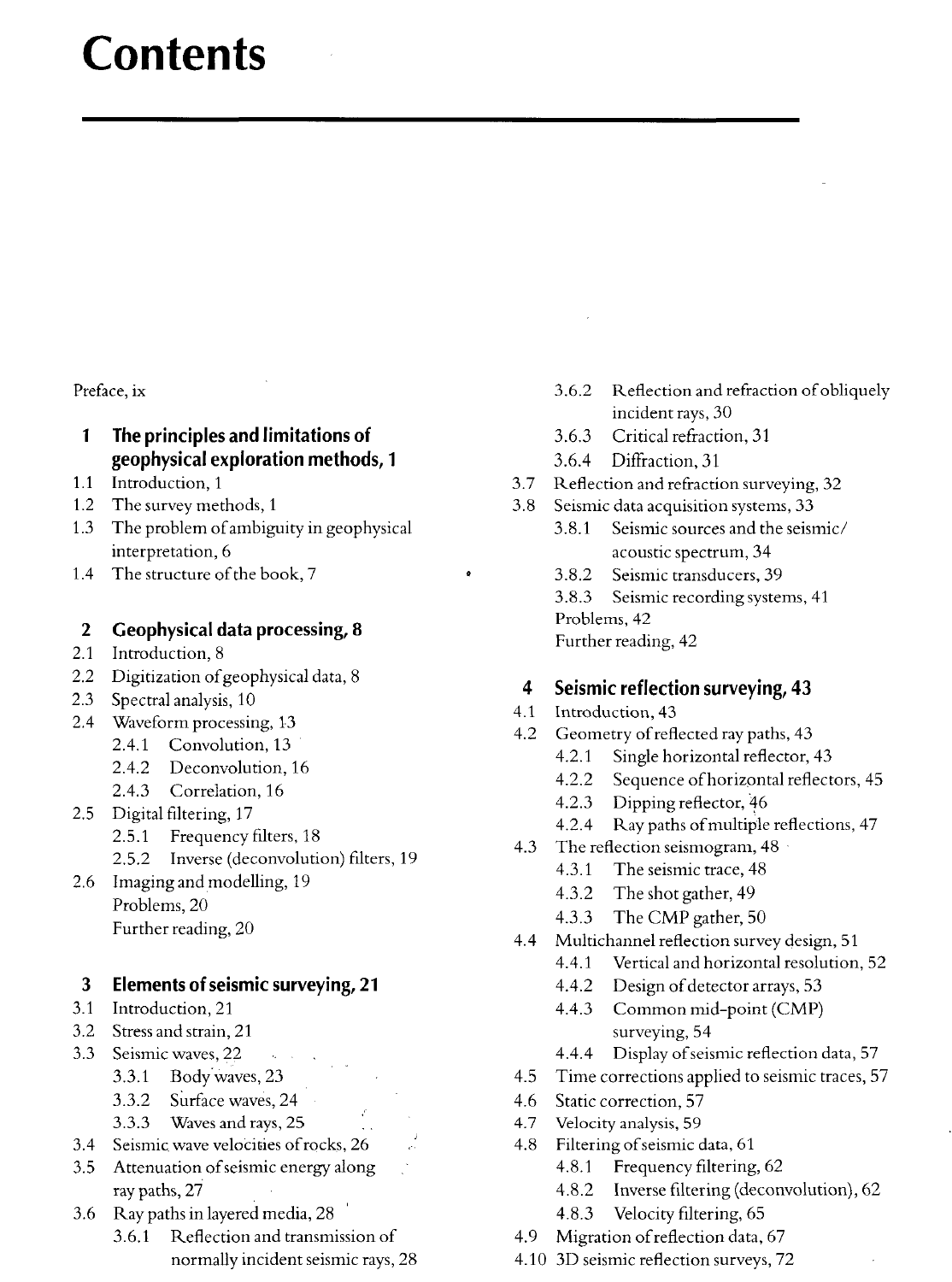# **Contents**

Preface, ix

- 1 The principles and limitations of geophysical exploration methods, 1
- 1.1 Introduction, 1
- 1.2 The survey methods, 1
- 1.3 The problem of ambiguity in geophysical interpretation, 6
- 1.4 The structure of the book, 7

# 2 Geophysical data processing, 8

- 2.1 Introduction, 8
- 2.2 Digitization of geophysical data, 8
- 2.3 Spectral analysis, 10
- 2.4 Waveform processing, 13
	- 2.4.1 Convolution, 13
	- 2.4.2 Deconvolution, 16
	- 2.4.3 Correlation, 16
- 2.5 Digital filtering, 17
	- 2.5.1 Frequency filters, 18
	- 2.5.2 Inverse (deconvolution) filters, 19
- 2.6 Imaging and modelling, 19 Problems, 20 Further reading, 20

# 3 Elements of seismic surveying, 21

- 3.1 Introduction, 21
- 3.2 Stress and strain, 21
- 3.3 Seismic waves, 22
	- 3.3.1 Body waves, 23
	- 3.3.2 Surface waves, 24
	- 3.3.3 Waves and rays, 25
- 3.4 Seismic wave velocities of rocks, 26
- 3.5 Attenuation of seismic energy along ray paths, 27
- 3.6 Ray paths in layered media, 28
	- 3.6.1 Reflection and transmission of normally incident seismic rays, 28
- 3.6.2 Reflection and refraction of obliquely incident rays, 30
- 3.6.3 Critical refraction, 31
- 3.6.4 Diffraction, 31
- 3.7 Reflection and refraction surveying, 32
- 3.8 Seismic data acquisition systems, 33
	- 3.8.1 Seismic sources and the seismic/ acoustic spectrum, 34
	- 3.8.2 Seismic transducers, 39
	- 3.8.3 Seismic recording systems, 41 Problems, 42 Further reading, 42

# 4 Seismic reflection surveying, 43

- 4.1 Introduction, 43
- 4.2 Geometry of reflected ray paths, 43
	- 4.2.1 Single horizontal reflector, 43
	- 4.2.2 Sequence of horizontal reflectors, 45
	- 4.2.3 Dipping reflector, 46
	- 4.2.4 Ray paths of multiple reflections, 47
- 4.3 The reflection seismogram, 48
	- 4.3.1 The seismic trace, 48
	- 4.3.2 The shot gather, 49
	- 4.3.3 The CMP gather, 50
- 4.4 Multichannel reflection survey design, 51
	- 4.4.1 Vertical and horizontal resolution, 52
	- 4.4.2 Design of detector arrays, 53
	- 4.4.3 Common mid-point (CMP) surveying, 54
	- 4.4.4 Display of seismic reflection data, 57
- 4.5 Time corrections applied to seismic traces, 57
- 4.6 Static correction, 57
- 4.7 Velocity analysis, 59
- 4.8 Filtering of seismic data, 61
	- 4.8.1 Frequency filtering, 62
	- 4.8.2 Inverse filtering (deconvolution), 62
	- 4.8.3 Velocity filtering, 65
- 4.9 Migration of reflection data, 67
- 4.10 3D seismic reflection surveys, 72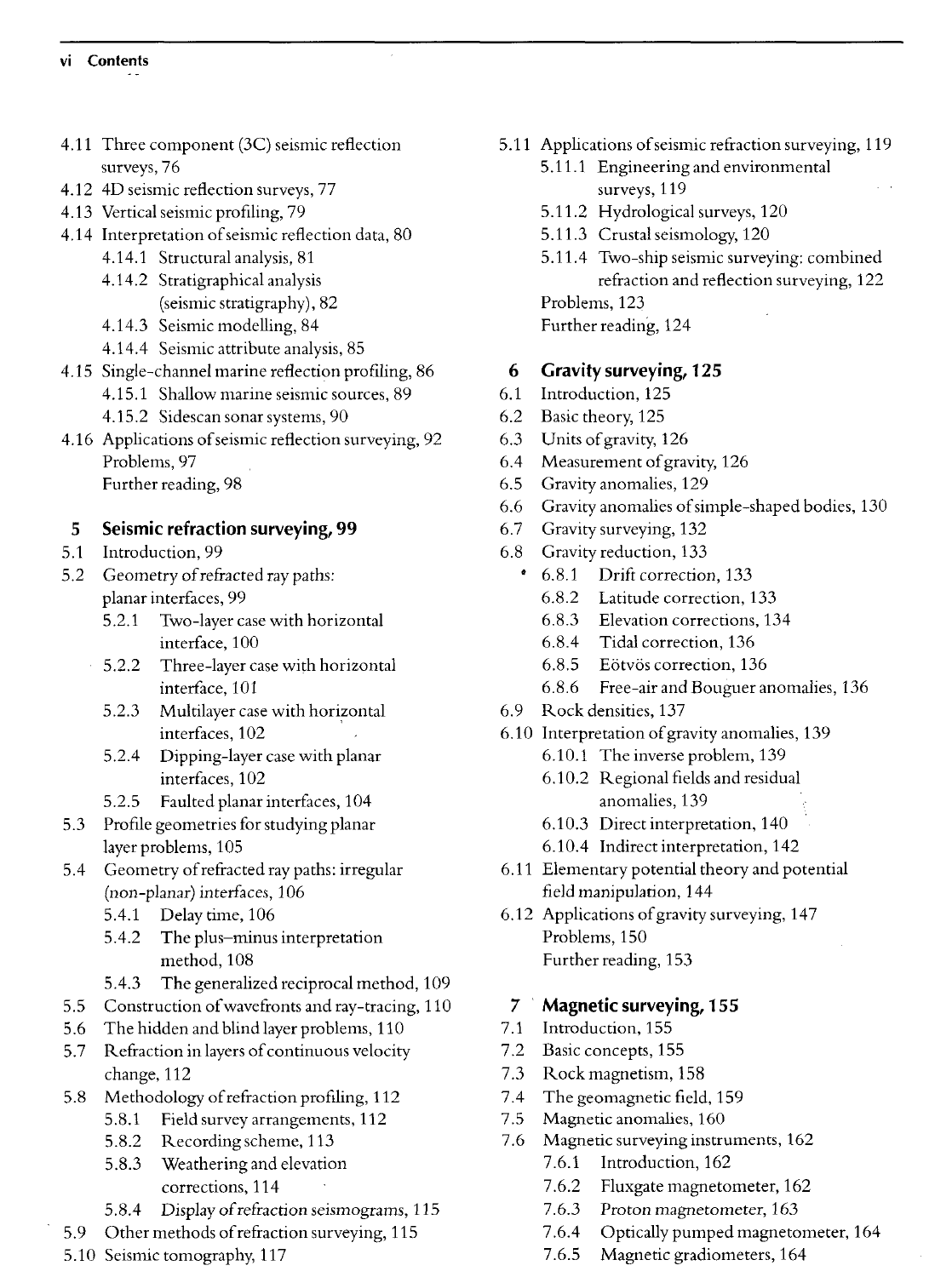#### vi Contents

- 4.11 Three component (3C) seismic reflection surveys, 76
- 4.12 4D seismic reflection surveys, 77
- 4.13 Vertical seismic profiling, 79
- 4.14 Interpretation of seismic reflection data, 80
	- 4.14.1 Structural analysis, 81
		- 4.14.2 Stratigraphical analysis (seismic stratigraphy), 82
		- 4.14.3 Seismic modelling, 84
		- 4.14.4 Seismic attribute analysis, 85
- 4.15 Single-channel marine reflection profiling, 86
	- 4.15.1 Shallow marine seismic sources, 89
	- 4.15.2 Sidescan sonar systems, 90
- 4.16 Applications of seismic reflection surveying, 92 Problems, 97 Further reading, 98

# 5 Seismic refraction surveying, 99

- 5.1 Introduction, 99
- 5.2 Geometry of refracted ray paths: planar interfaces, 99
	- 5.2.1 Two-layer case with horizontal interface, 100
	- 5.2.2 Three-layer case with horizontal interface, 101
	- 5.2.3 Multilayer case with horizontal interfaces, 102
	- 5.2.4 Dipping-layer case with planar interfaces, 102
	- 5.2.5 Faulted planar interfaces, 104
- 5.3 Profile geometries for studying planar layer problems, 105
- 5.4 Geometry of refracted ray paths: irregular (non-planar) interfaces, 106
	- 5.4.1 Delay time, 106
	- 5.4.2 The plus—minus interpretation method, 108
	- 5.4.3 The generalized reciprocal method, 109
- 5.5 Construction of wavefronts and ray-tracing, 110
- 5.6 The hidden and blind layer problems, 110
- 5.7 Refraction in layers of continuous velocity change, 112
- 5.8 Methodology of refraction profiling, 112
	- 5.8.1 Field survey arrangements, 112
	- 5.8.2 Recording scheme, 113
	- 5.8.3 Weathering and elevation corrections, 114
	- 5.8.4 Display of refraction seismograms, 115
- 5.9 Other methods of refraction surveying, 115
- 5.10 Seismic tomography, 117
- 5.11 Applications of seismic refraction surveying, 119
	- 5.11.1 Engineering and environmental surveys, 119
	- 5.11.2 Hydrological surveys, 120
	- 5.11.3 Crustal seismology, 120
	- 5.11.4 Two-ship seismic surveying: combined refraction and reflection surveying, 122 Problems, 123 Further reading, 124
- 6 Gravity surveying, 125
- 6.1 Introduction, 125
- 6.2 Basic theory, 125
- 6.3 Units of gravity, 126
- 6.4 Measurement of gravity, 126
- 6.5 Gravity anomalies, 129
- 6.6 Gravity anomalies of simple-shaped bodies, 130
- 6.7 Gravity surveying, 132
- 6.8 Gravity reduction, 133
	- 6.8.1 Drift correction, 133
		- 6.8.2 Latitude correction, 133
		- 6.8.3 Elevation corrections, 134
		- 6.8.4 Tidal correction, 136
		- 6.8.5 Eötvös correction, 136
		- 6.8.6 Free-air and Bouguer anomalies, 136
- 6.9 Rock densities, 137
- 6.10 Interpretation of gravity anomalies, 139
	- 6.10.1 The inverse problem, 139
	- 6.10.2 Regional fields and residual anomalies, 139
	- 6.10.3 Direct interpretation, 140
	- 6.10.4 Indirect interpretation, 142
- 6.11 Elementary potential theory and potential field manipulation, 144
- 6.12 Applications of gravity surveying, 147 Problems, 150 Further reading, 153

### 7 Magnetic surveying, 155

- 7.1 Introduction, 155
- 7.2 Basic concepts, 155
- 7.3 Rock magnetism, 158
- 7.4 The geomagnetic field, 159
- 7.5 Magnetic anomalies, 160
- 7.6 Magnetic surveying instruments, 162 7.6.1 Introduction, 162
	- 7.6.2 Fluxgate magnetometer, 162
	- 7.6.3 Proton magnetometer, 163
	- 7.6.4 Optically pumped magnetometer, 164
	- 7.6.5 Magnetic gradiometers, 164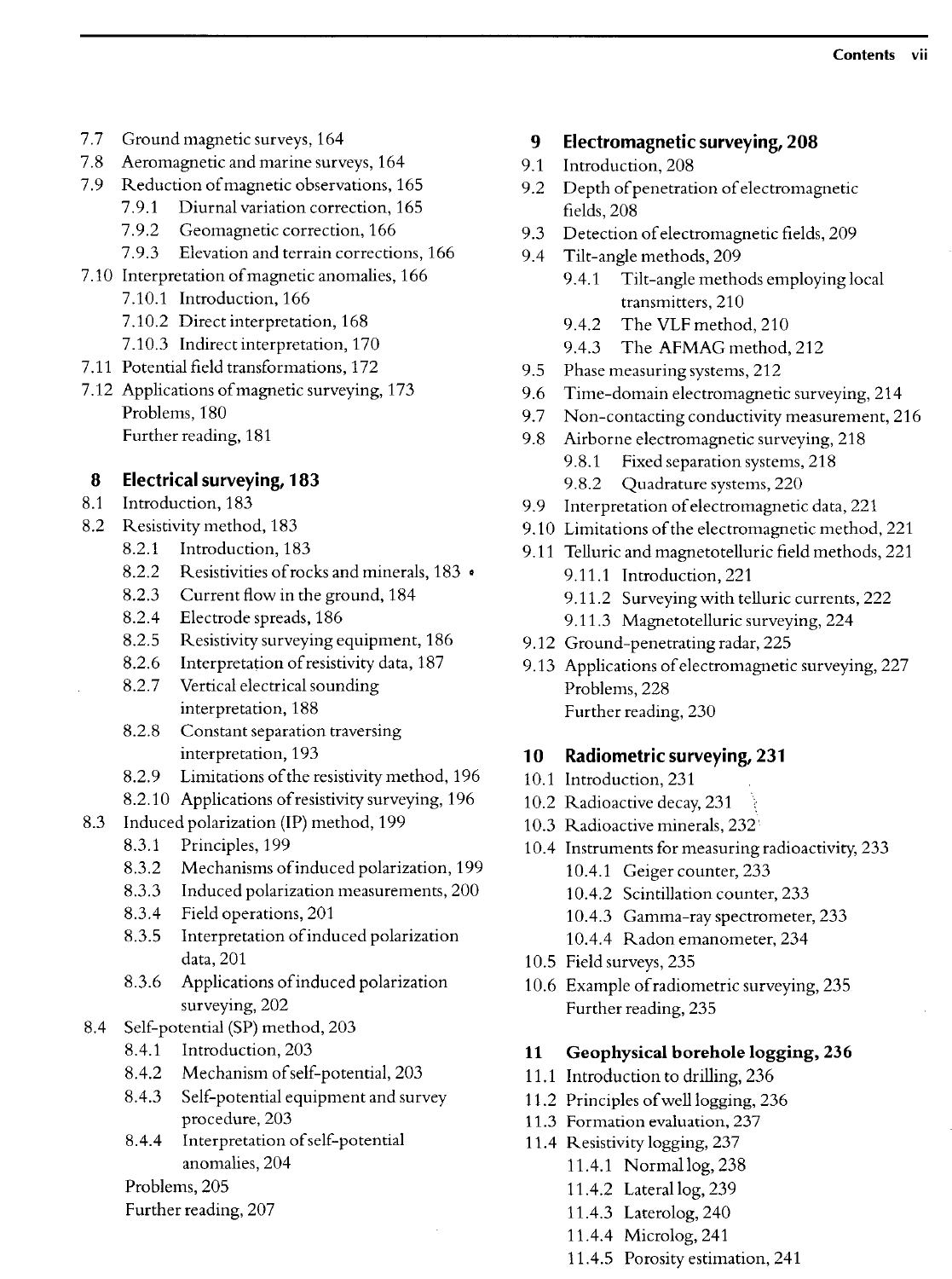- 7.7 Ground magnetic surveys, 164
- 7.8 Aeromagnetic and marine surveys, 164
- 7.9 Reduction of magnetic observations, 165
	- 7.9.1 Diurnal variation correction, 165
	- 7.9.2 Geomagnetic correction, 166
	- 7.9.3 Elevation and terrain corrections, 166
- 7.10 Interpretation of magnetic anomalies, 166
	- 7.10.1 Introduction, 166
	- 7.10.2 Direct interpretation, 168
	- 7.10.3 Indirect interpretation, 170
- 7.11 Potential field transformations, 172
- 7.12 Applications of magnetic surveying, 173 Problems, 180 Further reading, 181

#### 8 Electrical surveying, 183

- 8.1 Introduction, 183
- 8.2 Resistivity method, 183
	- 8.2.1 Introduction, 183
	- 8.2.2 Resistivities of rocks and minerals, 183 •
	- 8.2.3 Current flow in the ground, 184
	- 8.2.4 Electrode spreads, 186
	- 8.2.5 Resistivity surveying equipment, 186
	- 8.2.6 Interpretation of resistivity data, 187
	- 8.2.7 Vertical electrical sounding interpretation, 188
	- 8.2.8 Constant separation traversing interpretation, 193
	- 8.2.9 Limitations of the resistivity method, 196
	- 8.2.10 Applications of resistivity surveying, 196
- 8.3 Induced polarization (IP) method, 199
	- 8.3.1 Principles, 199
	- 8.3.2 Mechanisms of induced polarization, 199
	- 8.3.3 Induced polarization measurements, 200
	- 8.3.4 Field operations, 201
	- 8.3.5 Interpretation of induced polarization data, 201
	- 8.3.6 Applications of induced polarization surveying, 202
- 8.4 Self-potential (SP) method, 203
	- 8.4.1 Introduction, 203
	- 8.4.2 Mechanism of self-potential, 203
	- 8.4.3 Self-potential equipment and survey procedure, 203
	- 8.4.4 Interpretation of self-potential anomalies, 204

Problems, 205

Further reading, 207

#### 9 Electromagnetic surveying, 208

- 9.1 Introduction, 208
- 9.2 Depth of penetration of electromagnetic fields, 208
- 9.3 Detection of electromagnetic fields, 209
- 9.4 Tilt-angle methods, 209
	- 9.4.1 Tilt-angle methods employing local transmitters, 210
	- 9.4.2 The VLF method, 210
	- 9.4.3 The AFMAG method, 212
- 9.5 Phase measuring systems, 212
- 9.6 Time-domain electromagnetic surveying, 214
- 9.7 Non-contacting conductivity measurement, 216
- 9.8 Airborne electromagnetic surveying, 218
	- 9.8.1 Fixed separation systems, 218 9.8.2 Quadrature systems, 220
- 9.9 Interpretation of electromagnetic data, 221
- 9.10 Limitations of the electromagnetic method, 221
- 9.11 Telluric and magnetotelluric field methods, 221
	- 9.11.1 Introduction, 221
	- 9.11.2 Surveying with telluric currents, 222
	- 9.11.3 Magnetotelluric surveying, 224
- 9.12 Ground-penetrating radar, 225
- 9.13 Applications of electromagnetic surveying, 227 Problems, 228 Further reading, 230

#### 10 Radiometric surveying, 231

- 10.1 Introduction, 231
- 10.2 Radioactive decay, 231 *\*
- 10.3 Radioactive minerals, 232
- 10.4 Instruments for measuring radioactivity, 233
	- 10.4.1 Geiger counter, 233
	- 10.4.2 Scintillation counter, 233
	- 10.4.3 Gamma-ray spectrometer, 233
	- 10.4.4 Radon emanometer, 234
- 10.5 Field surveys, 235
- 10.6 Example of radiometric surveying, 235 Further reading, 235

#### **11 Geophysical borehole logging, 236**

- 11.1 Introduction to drilling, 236
- 11.2 Principles of well logging, 236
- 11.3 Formation evaluation, 237
- 11.4 Resistivity logging, 237 11.4.1 Normal log, 238
	- 11.4.2 Lateral log, 239
	- 11.4.3 Laterolog, 240
	- 11.4.4 Microlog, 241
	- 11.4.5 Porosity estimation, 241